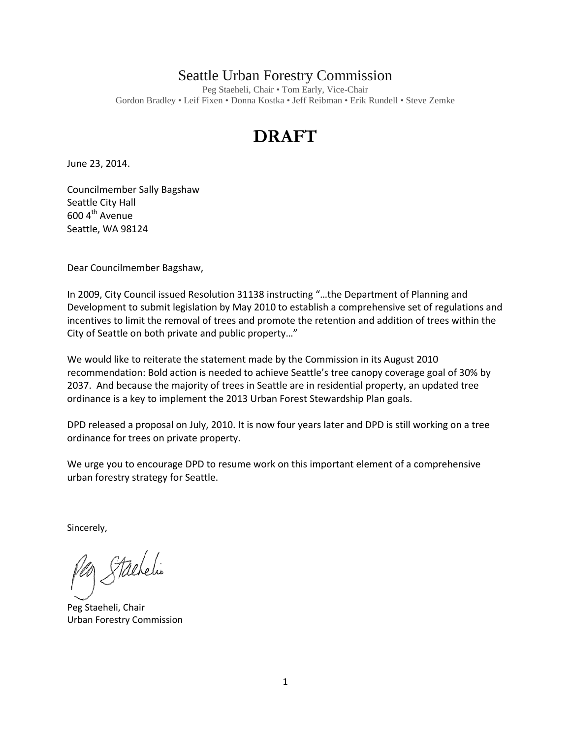## Seattle Urban Forestry Commission

Peg Staeheli, Chair • Tom Early, Vice-Chair Gordon Bradley • Leif Fixen • Donna Kostka • Jeff Reibman • Erik Rundell • Steve Zemke

## **DRAFT**

June 23, 2014.

Councilmember Sally Bagshaw Seattle City Hall  $600 4<sup>th</sup>$  Avenue Seattle, WA 98124

Dear Councilmember Bagshaw,

In 2009, City Council issued Resolution 31138 instructing "…the Department of Planning and Development to submit legislation by May 2010 to establish a comprehensive set of regulations and incentives to limit the removal of trees and promote the retention and addition of trees within the City of Seattle on both private and public property…"

We would like to reiterate the statement made by the Commission in its August 2010 recommendation: Bold action is needed to achieve Seattle's tree canopy coverage goal of 30% by 2037. And because the majority of trees in Seattle are in residential property, an updated tree ordinance is a key to implement the 2013 Urban Forest Stewardship Plan goals.

DPD released a proposal on July, 2010. It is now four years later and DPD is still working on a tree ordinance for trees on private property.

We urge you to encourage DPD to resume work on this important element of a comprehensive urban forestry strategy for Seattle.

Sincerely,

Stachelis

Peg Staeheli, Chair Urban Forestry Commission